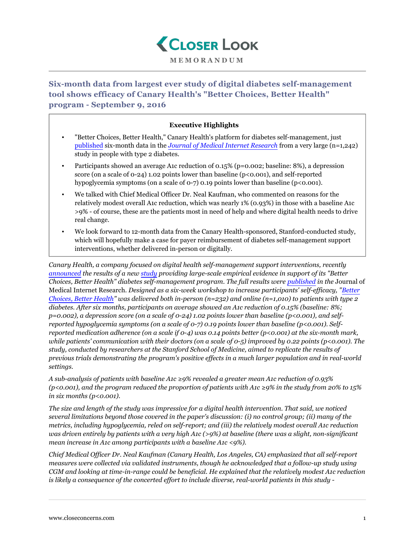

**MEMORANDUM**

**Six-month data from largest ever study of digital diabetes self-management tool shows efficacy of Canary Health's "Better Choices, Better Health" program - September 9, 2016**

## **Executive Highlights**

- "Better Choices, Better Health," Canary Health's platform for diabetes self-management, just [published](http://www.marketwired.com/press-release/-2154685.htm) six-month data in the *[Journal of Medical Internet Research](http://www.jmir.org/2016/6/e164/)* from a very large (n=1,242) study in people with type 2 diabetes.
- Participants showed an average A1c reduction of 0.15% (p=0.002; baseline: 8%), a depression score (on a scale of 0-24) 1.02 points lower than baseline (p<0.001), and self-reported hypoglycemia symptoms (on a scale of 0-7) 0.19 points lower than baseline (p<0.001).
- We talked with Chief Medical Officer Dr. Neal Kaufman, who commented on reasons for the relatively modest overall A1c reduction, which was nearly 1% (0.93%) in those with a baseline A1c >9% - of course, these are the patients most in need of help and where digital health needs to drive real change.
- We look forward to 12-month data from the Canary Health-sponsored, Stanford-conducted study, which will hopefully make a case for payer reimbursement of diabetes self-management support interventions, whether delivered in-person or digitally.

*Canary Health, a company focused on digital health self-management support interventions, recently [announced](http://www.canaryhealth.com/stanford-study-proves-digital-self-management-program-for-diabetes-reduces-a1c-and-depression/) the results of a new [study](http://www.jmir.org/2016/6/e164/) providing large-scale empirical evidence in support of its "Better Choices, Better Health" diabetes self-management program. The full results were [published](http://www.marketwired.com/press-release/-2154685.htm) in the* Journal of Medical Internet Research*. Designed as a six-week workshop to increase participants' self-efficacy, "[Better](http://patienteducation.stanford.edu/internet/diabetesol.html) [Choices, Better Health"](http://patienteducation.stanford.edu/internet/diabetesol.html) was delivered both in-person (n=232) and online (n=1,010) to patients with type 2 diabetes. After six months, participants on average showed an A1c reduction of 0.15% (baseline: 8%; p=0.002), a depression score (on a scale of 0-24) 1.02 points lower than baseline (p<0.001), and selfreported hypoglycemia symptoms (on a scale of 0-7) 0.19 points lower than baseline (p<0.001). Selfreported medication adherence (on a scale if 0-4) was 0.14 points better (p<0.001) at the six-month mark, while patients' communication with their doctors (on a scale of 0-5) improved by 0.22 points (p<0.001). The study, conducted by researchers at the Stanford School of Medicine, aimed to replicate the results of previous trials demonstrating the program's positive effects in a much larger population and in real-world settings.*

*A sub-analysis of patients with baseline A1c ≥9% revealed a greater mean A1c reduction of 0.93% (p<0.001), and the program reduced the proportion of patients with A1c ≥9% in the study from 20% to 15% in six months (p<0.001).*

*The size and length of the study was impressive for a digital health intervention. That said, we noticed several limitations beyond those covered in the paper's discussion: (i) no control group; (ii) many of the metrics, including hypoglycemia, reled on self-report; and (iii) the relatively modest overall A1c reduction was driven entirely by patients with a very high A1c (>9%) at baseline (there was a slight, non-significant mean increase in A1c among participants with a baseline A1c <9%).*

*Chief Medical Officer Dr. Neal Kaufman (Canary Health, Los Angeles, CA) emphasized that all self-report measures were collected via validated instruments, though he acknowledged that a follow-up study using CGM and looking at time-in-range could be beneficial. He explained that the relatively modest A1c reduction is likely a consequence of the concerted effort to include diverse, real-world patients in this study -*